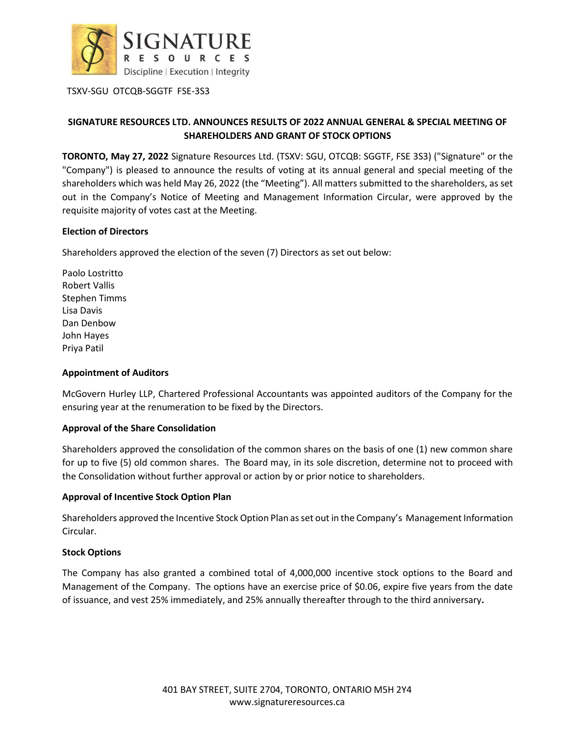

TSXV-SGU OTCQB-SGGTF FSE-3S3

# **SIGNATURE RESOURCES LTD. ANNOUNCES RESULTS OF 2022 ANNUAL GENERAL & SPECIAL MEETING OF SHAREHOLDERS AND GRANT OF STOCK OPTIONS**

**TORONTO, May 27, 2022** Signature Resources Ltd. (TSXV: SGU, OTCQB: SGGTF, FSE 3S3) ("Signature" or the "Company") is pleased to announce the results of voting at its annual general and special meeting of the shareholders which was held May 26, 2022 (the "Meeting"). All matters submitted to the shareholders, as set out in the Company's Notice of Meeting and Management Information Circular, were approved by the requisite majority of votes cast at the Meeting.

### **Election of Directors**

Shareholders approved the election of the seven (7) Directors as set out below:

Paolo Lostritto Robert Vallis Stephen Timms Lisa Davis Dan Denbow John Hayes Priya Patil

## **Appointment of Auditors**

McGovern Hurley LLP, Chartered Professional Accountants was appointed auditors of the Company for the ensuring year at the renumeration to be fixed by the Directors.

### **Approval of the Share Consolidation**

Shareholders approved the consolidation of the common shares on the basis of one (1) new common share for up to five (5) old common shares. The Board may, in its sole discretion, determine not to proceed with the Consolidation without further approval or action by or prior notice to shareholders.

### **Approval of Incentive Stock Option Plan**

Shareholders approved the Incentive Stock Option Plan as set out in the Company's Management Information Circular.

### **Stock Options**

The Company has also granted a combined total of 4,000,000 incentive stock options to the Board and Management of the Company. The options have an exercise price of \$0.06, expire five years from the date of issuance, and vest 25% immediately, and 25% annually thereafter through to the third anniversary**.**